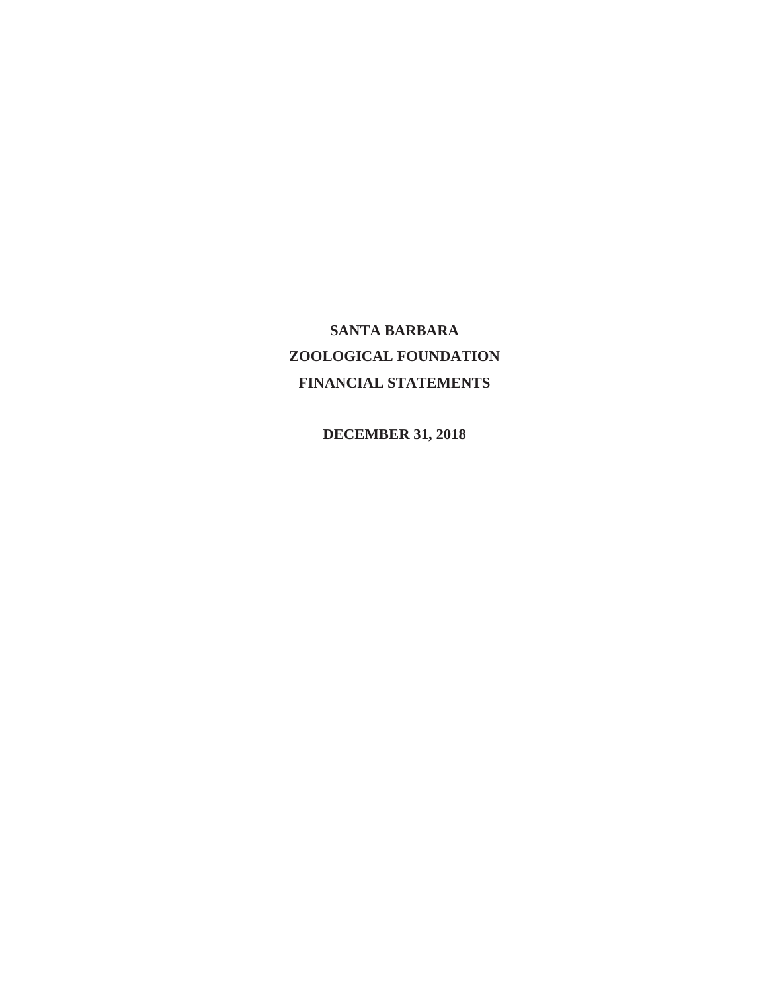# **SANTA BARBARA ZOOLOGICAL FOUNDATION FINANCIAL STATEMENTS**

 **DECEMBER 31, 2018**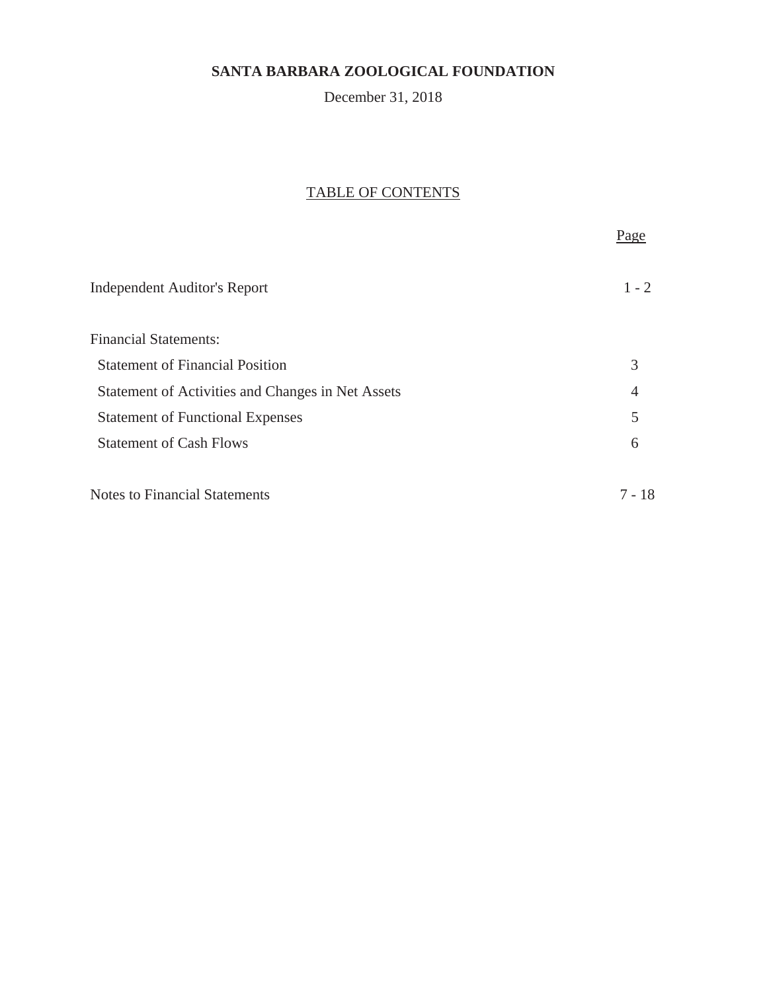# December 31, 2018

# TABLE OF CONTENTS

Page

| <b>Independent Auditor's Report</b>               | $1 - 2$        |
|---------------------------------------------------|----------------|
| <b>Financial Statements:</b>                      |                |
| <b>Statement of Financial Position</b>            | 3              |
| Statement of Activities and Changes in Net Assets | $\overline{4}$ |
| <b>Statement of Functional Expenses</b>           | 5              |
| <b>Statement of Cash Flows</b>                    | 6              |
|                                                   |                |
| <b>Notes to Financial Statements</b>              | 7 - 18         |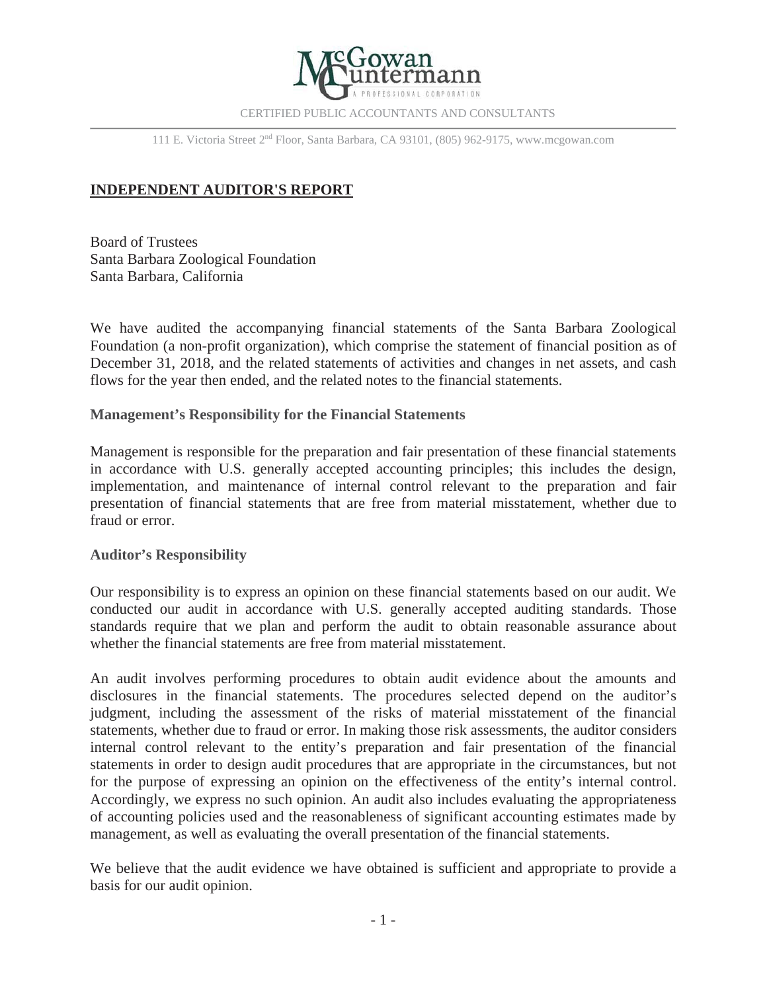

CERTIFIED PUBLIC ACCOUNTANTS AND CONSULTANTS

111 E. Victoria Street 2nd Floor, Santa Barbara, CA 93101, (805) 962-9175, www.mcgowan.com

# **INDEPENDENT AUDITOR'S REPORT**

Board of Trustees Santa Barbara Zoological Foundation Santa Barbara, California

We have audited the accompanying financial statements of the Santa Barbara Zoological Foundation (a non-profit organization), which comprise the statement of financial position as of December 31, 2018, and the related statements of activities and changes in net assets, and cash flows for the year then ended, and the related notes to the financial statements.

### **Management's Responsibility for the Financial Statements**

Management is responsible for the preparation and fair presentation of these financial statements in accordance with U.S. generally accepted accounting principles; this includes the design, implementation, and maintenance of internal control relevant to the preparation and fair presentation of financial statements that are free from material misstatement, whether due to fraud or error.

### **Auditor's Responsibility**

Our responsibility is to express an opinion on these financial statements based on our audit. We conducted our audit in accordance with U.S. generally accepted auditing standards. Those standards require that we plan and perform the audit to obtain reasonable assurance about whether the financial statements are free from material misstatement.

An audit involves performing procedures to obtain audit evidence about the amounts and disclosures in the financial statements. The procedures selected depend on the auditor's judgment, including the assessment of the risks of material misstatement of the financial statements, whether due to fraud or error. In making those risk assessments, the auditor considers internal control relevant to the entity's preparation and fair presentation of the financial statements in order to design audit procedures that are appropriate in the circumstances, but not for the purpose of expressing an opinion on the effectiveness of the entity's internal control. Accordingly, we express no such opinion. An audit also includes evaluating the appropriateness of accounting policies used and the reasonableness of significant accounting estimates made by management, as well as evaluating the overall presentation of the financial statements.

We believe that the audit evidence we have obtained is sufficient and appropriate to provide a basis for our audit opinion.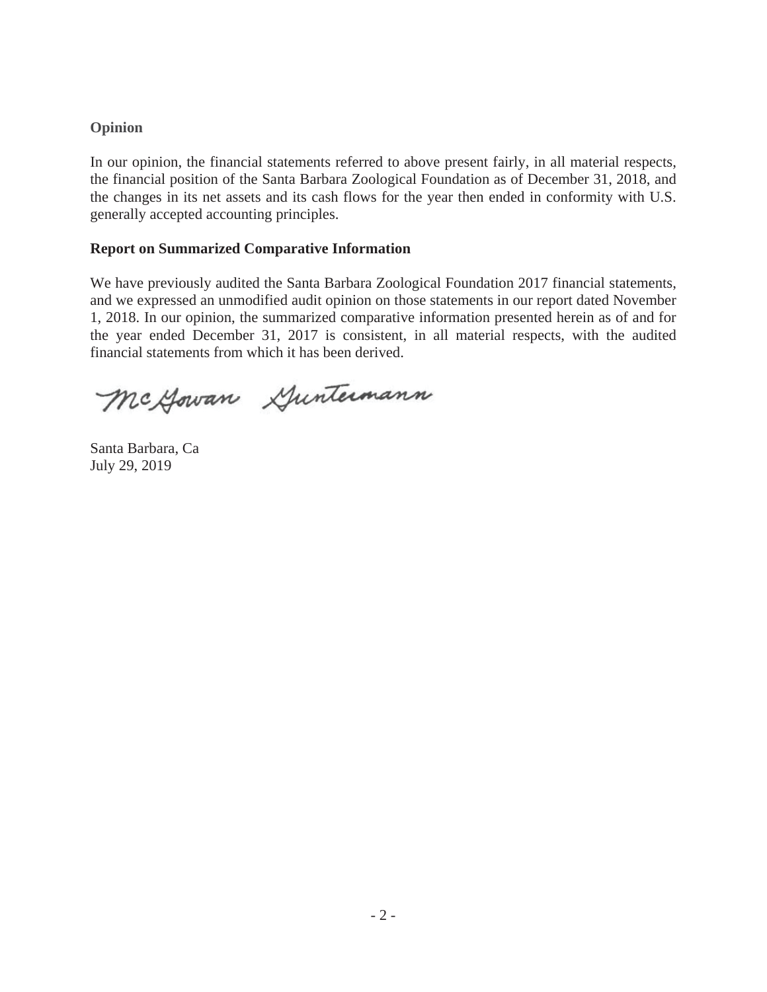# **Opinion**

In our opinion, the financial statements referred to above present fairly, in all material respects, the financial position of the Santa Barbara Zoological Foundation as of December 31, 2018, and the changes in its net assets and its cash flows for the year then ended in conformity with U.S. generally accepted accounting principles.

# **Report on Summarized Comparative Information**

We have previously audited the Santa Barbara Zoological Foundation 2017 financial statements, and we expressed an unmodified audit opinion on those statements in our report dated November 1, 2018. In our opinion, the summarized comparative information presented herein as of and for the year ended December 31, 2017 is consistent, in all material respects, with the audited financial statements from which it has been derived.

Mc Gowan Guntermann

Santa Barbara, Ca July 29, 2019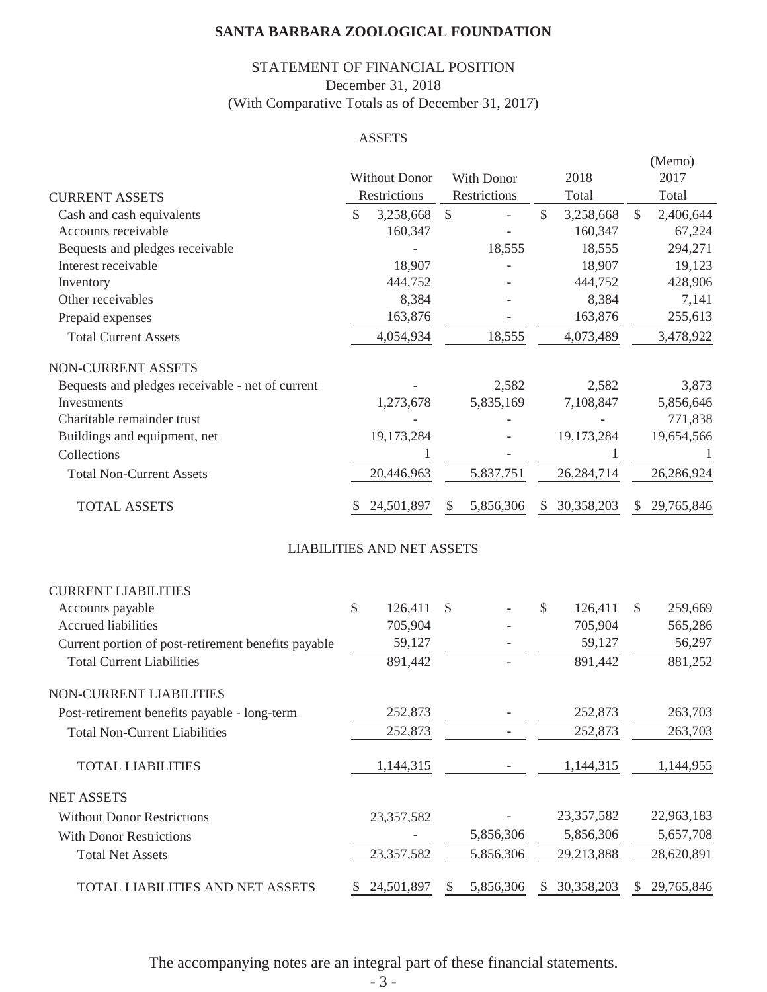# STATEMENT OF FINANCIAL POSITION (With Comparative Totals as of December 31, 2017) December 31, 2018

### ASSETS

|                                                     |               | <b>Without Donor</b>              |                           | With Donor               |               | 2018       |               | (Memo)<br>2017 |
|-----------------------------------------------------|---------------|-----------------------------------|---------------------------|--------------------------|---------------|------------|---------------|----------------|
| <b>CURRENT ASSETS</b>                               |               | Restrictions                      |                           | Restrictions             |               | Total      |               | Total          |
| Cash and cash equivalents                           | \$            | 3,258,668                         | $\boldsymbol{\mathsf{S}}$ |                          | $\mathcal{S}$ | 3,258,668  | $\mathcal{S}$ | 2,406,644      |
| Accounts receivable                                 |               | 160,347                           |                           |                          |               | 160,347    |               | 67,224         |
| Bequests and pledges receivable                     |               |                                   |                           | 18,555                   |               | 18,555     |               | 294,271        |
| Interest receivable                                 |               | 18,907                            |                           |                          |               | 18,907     |               | 19,123         |
| Inventory                                           |               | 444,752                           |                           |                          |               | 444,752    |               | 428,906        |
| Other receivables                                   |               | 8,384                             |                           |                          |               | 8,384      |               | 7,141          |
| Prepaid expenses                                    |               | 163,876                           |                           |                          |               | 163,876    |               | 255,613        |
| <b>Total Current Assets</b>                         |               | 4,054,934                         |                           | 18,555                   |               | 4,073,489  |               | 3,478,922      |
| NON-CURRENT ASSETS                                  |               |                                   |                           |                          |               |            |               |                |
| Bequests and pledges receivable - net of current    |               |                                   |                           | 2,582                    |               | 2,582      |               | 3,873          |
| Investments                                         |               | 1,273,678                         |                           | 5,835,169                |               | 7,108,847  |               | 5,856,646      |
| Charitable remainder trust                          |               |                                   |                           |                          |               |            |               | 771,838        |
| Buildings and equipment, net                        |               | 19,173,284                        |                           |                          |               | 19,173,284 |               | 19,654,566     |
| Collections                                         |               |                                   |                           |                          |               |            |               | 1              |
| <b>Total Non-Current Assets</b>                     |               | 20,446,963                        |                           | 5,837,751                |               | 26,284,714 |               | 26,286,924     |
| <b>TOTAL ASSETS</b>                                 | <sup>\$</sup> | 24,501,897                        | \$                        | 5,856,306                | $\mathcal{S}$ | 30,358,203 | <sup>S</sup>  | 29,765,846     |
|                                                     |               | <b>LIABILITIES AND NET ASSETS</b> |                           |                          |               |            |               |                |
| <b>CURRENT LIABILITIES</b>                          |               |                                   |                           |                          |               |            |               |                |
| Accounts payable                                    | \$            | 126,411                           | \$                        |                          | \$            | 126,411    | \$            | 259,669        |
| <b>Accrued liabilities</b>                          |               | 705,904                           |                           |                          |               | 705,904    |               | 565,286        |
| Current portion of post-retirement benefits payable |               | 59,127                            |                           |                          |               | 59,127     |               | 56,297         |
| <b>Total Current Liabilities</b>                    |               | 891,442                           |                           |                          |               | 891,442    |               | 881,252        |
| NON-CURRENT LIABILITIES                             |               |                                   |                           |                          |               |            |               |                |
| Post-retirement benefits payable - long-term        |               | 252,873                           |                           |                          |               | 252,873    |               | 263,703        |
| <b>Total Non-Current Liabilities</b>                |               | 252,873                           |                           | $\overline{\phantom{a}}$ |               | 252,873    |               | 263,703        |
| <b>TOTAL LIABILITIES</b>                            |               | 1,144,315                         |                           |                          |               | 1,144,315  |               | 1,144,955      |
| <b>NET ASSETS</b>                                   |               |                                   |                           |                          |               |            |               |                |
| <b>Without Donor Restrictions</b>                   |               | 23,357,582                        |                           |                          |               | 23,357,582 |               | 22,963,183     |
| <b>With Donor Restrictions</b>                      |               |                                   |                           | 5,856,306                |               | 5,856,306  |               | 5,657,708      |
| <b>Total Net Assets</b>                             |               | 23,357,582                        |                           | 5,856,306                |               | 29,213,888 |               | 28,620,891     |
| TOTAL LIABILITIES AND NET ASSETS                    | S.            | 24,501,897                        | <sup>\$</sup>             | 5,856,306                | <sup>S</sup>  | 30,358,203 |               | \$29,765,846   |

The accompanying notes are an integral part of these financial statements.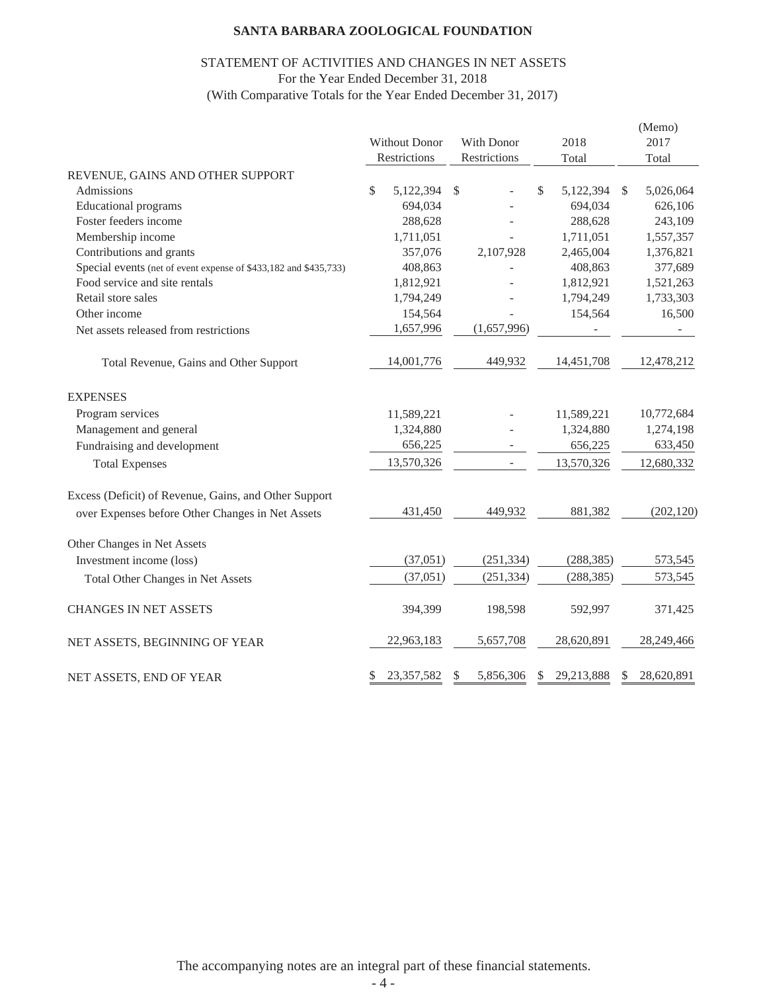### STATEMENT OF ACTIVITIES AND CHANGES IN NET ASSETS For the Year Ended December 31, 2018

(With Comparative Totals for the Year Ended December 31, 2017)

|                                                                  | Without Donor<br>Restrictions |              | With Donor<br>Restrictions |    | 2018<br>Total | (Memo)<br>2017<br>Total |
|------------------------------------------------------------------|-------------------------------|--------------|----------------------------|----|---------------|-------------------------|
| REVENUE, GAINS AND OTHER SUPPORT                                 |                               |              |                            |    |               |                         |
| Admissions                                                       | \$<br>5,122,394               | $\mathbb{S}$ |                            | \$ | 5,122,394     | \$<br>5,026,064         |
| <b>Educational</b> programs                                      | 694,034                       |              |                            |    | 694,034       | 626,106                 |
| Foster feeders income                                            | 288,628                       |              |                            |    | 288,628       | 243,109                 |
| Membership income                                                | 1,711,051                     |              |                            |    | 1,711,051     | 1,557,357               |
| Contributions and grants                                         | 357,076                       |              | 2,107,928                  |    | 2,465,004     | 1,376,821               |
| Special events (net of event expense of \$433,182 and \$435,733) | 408,863                       |              |                            |    | 408,863       | 377,689                 |
| Food service and site rentals                                    | 1,812,921                     |              |                            |    | 1,812,921     | 1,521,263               |
| Retail store sales                                               | 1,794,249                     |              |                            |    | 1,794,249     | 1,733,303               |
| Other income                                                     | 154,564                       |              |                            |    | 154,564       | 16,500                  |
| Net assets released from restrictions                            | 1,657,996                     |              | (1,657,996)                |    |               |                         |
| Total Revenue, Gains and Other Support                           | 14,001,776                    |              | 449,932                    |    | 14,451,708    | 12,478,212              |
| <b>EXPENSES</b>                                                  |                               |              |                            |    |               |                         |
| Program services                                                 | 11,589,221                    |              |                            |    | 11,589,221    | 10,772,684              |
| Management and general                                           | 1,324,880                     |              |                            |    | 1,324,880     | 1,274,198               |
| Fundraising and development                                      | 656,225                       |              | $\overline{\phantom{a}}$   |    | 656,225       | 633,450                 |
| <b>Total Expenses</b>                                            | 13,570,326                    |              |                            |    | 13,570,326    | 12,680,332              |
| Excess (Deficit) of Revenue, Gains, and Other Support            |                               |              |                            |    |               |                         |
| over Expenses before Other Changes in Net Assets                 | 431,450                       |              | 449,932                    |    | 881,382       | (202, 120)              |
| Other Changes in Net Assets                                      |                               |              |                            |    |               |                         |
| Investment income (loss)                                         | (37,051)                      |              | (251, 334)                 |    | (288, 385)    | 573,545                 |
| Total Other Changes in Net Assets                                | (37, 051)                     |              | (251, 334)                 |    | (288, 385)    | 573,545                 |
| <b>CHANGES IN NET ASSETS</b>                                     | 394,399                       |              | 198,598                    |    | 592,997       | 371,425                 |
| NET ASSETS, BEGINNING OF YEAR                                    | 22,963,183                    |              | 5,657,708                  |    | 28,620,891    | 28,249,466              |
| NET ASSETS, END OF YEAR                                          | \$<br>23,357,582              | $\mathbb{S}$ | 5,856,306                  | S  | 29,213,888    | \$<br>28,620,891        |

The accompanying notes are an integral part of these financial statements.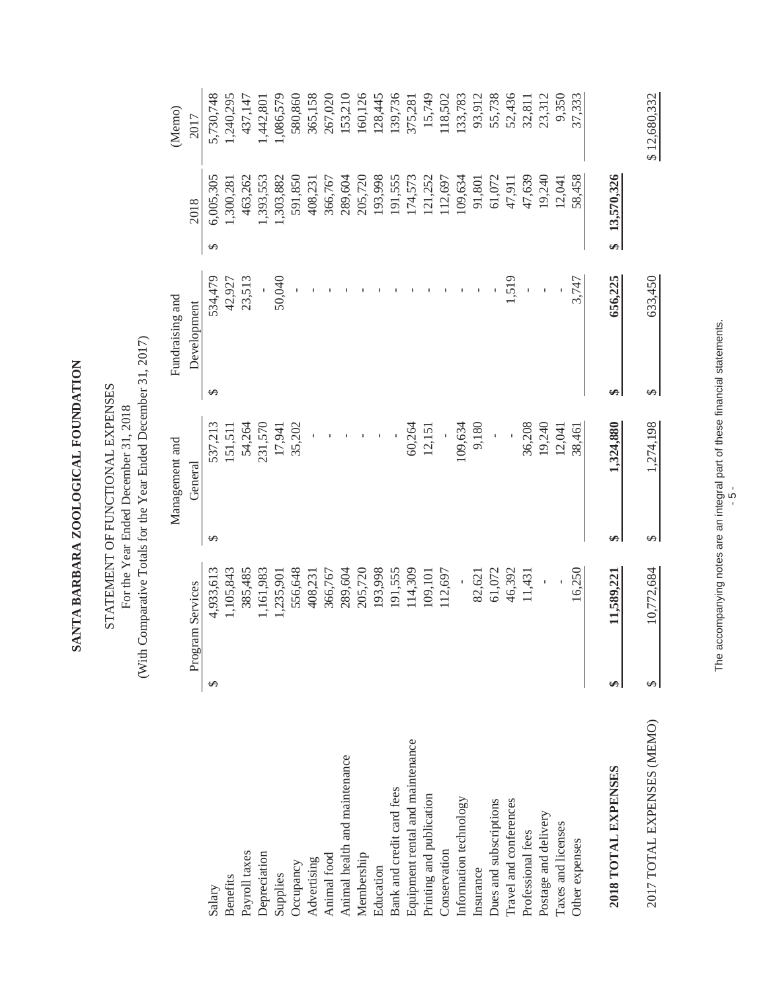SANTA BARBARA ZOOLOGICAL FOUNDATION **SANTA BARBARA ZOOLOGICAL FOUNDATION**

(With Comparative Totals for the Year Ended December 31, 2017) (With Comparative Totals for the Year Ended December 31, 2017) STATEMENT OF FUNCTIONAL EXPENSES STATEMENT OF FUNCTIONAL EXPENSES For the Year Ended December 31, 2018 For the Year Ended December 31, 2018

|                                  |   |                  |   | Management and |           | Fundraising and |                 | (Memo        |
|----------------------------------|---|------------------|---|----------------|-----------|-----------------|-----------------|--------------|
|                                  |   | Program Services |   | General        |           | Development     | 2018            | 2017         |
| Salary                           | ↮ | 4,933,613        | ↮ | 537,213        | $\Theta$  | 534,479         | 6,005,305<br>↮  | 5,730,748    |
| <b>Benefits</b>                  |   | 1,105,843        |   | 151,511        |           | 42,927          | 1,300,281       | 1,240,295    |
| Payroll taxes                    |   | 385,485          |   | 54,264         |           | 23,513          | 463,262         | 437,147      |
| Depreciation                     |   | 1,161,983        |   | 231,570        |           |                 | 1,393,553       | 1,442,801    |
| Supplies                         |   | 1,235,901        |   | 17,941         |           | 50,040          | 1,303,882       | 1,086,579    |
| Occupancy                        |   | 556,648          |   | 35,202         |           |                 | 591,850         | 580,860      |
| Advertising                      |   | 408,231          |   |                |           |                 | 408,231         | 365,158      |
| Animal food                      |   | 366,767          |   |                |           |                 | 366,767         | 267,020      |
| Animal health and maintenance    |   | 289,604          |   |                |           |                 | 289,604         | 153,210      |
| Membership                       |   | 205,720          |   |                |           |                 | 205,720         | 160,126      |
| Education                        |   | 193,998          |   |                |           |                 | 193,998         | 128,445      |
| Bank and credit card fees        |   | 191,555          |   |                |           |                 | 191,555         | 139,736      |
| Equipment rental and maintenance |   | 14,309           |   | 60,264         |           |                 | 174,573         | 375,281      |
| Printing and publication         |   | 109,101          |   | 12,151         |           |                 | 121,252         | 15,749       |
| Conservation                     |   | 112,697          |   |                |           |                 | 112,697         | 118,502      |
| Information technology           |   |                  |   | 109,634        |           |                 | 109,634         | 33,783       |
| Insurance                        |   | 82,621           |   | 9,180          |           |                 | 91,801          | 93,912       |
| Dues and subscriptions           |   | 61,072           |   | Ï              |           |                 | 61,072          | 55,738       |
| Travel and conferences           |   | 46,392           |   |                |           | 1,519           | 47,911          | 52,436       |
| Professional fees                |   | 11,431           |   | 36,208         |           |                 | 47,639          | 32,811       |
| Postage and delivery             |   |                  |   | 19,240         |           |                 | 19,240          | 23,312       |
| Taxes and licenses               |   |                  |   | 12,041         |           |                 | 12,041          | 9,350        |
| Other expenses                   |   | 16,250           |   | 38,461         |           | 3,747           | 58,458          | 37,333       |
| 2018 TOTAL EXPENSES              | ₩ | 11,589,221       | ↮ | 1,324,880      | ↮         | 656,225         | 13,570,326<br>€ |              |
| 2017 TOTAL EXPENSES (MEMO)       | S | 10,772,684       | ↮ | 1,274,198      | $\varphi$ | 633,450         |                 | \$12,680,332 |

The accompanying notes are an integral part of these financial statements. The accompanying notes are an integral part of these financial statements.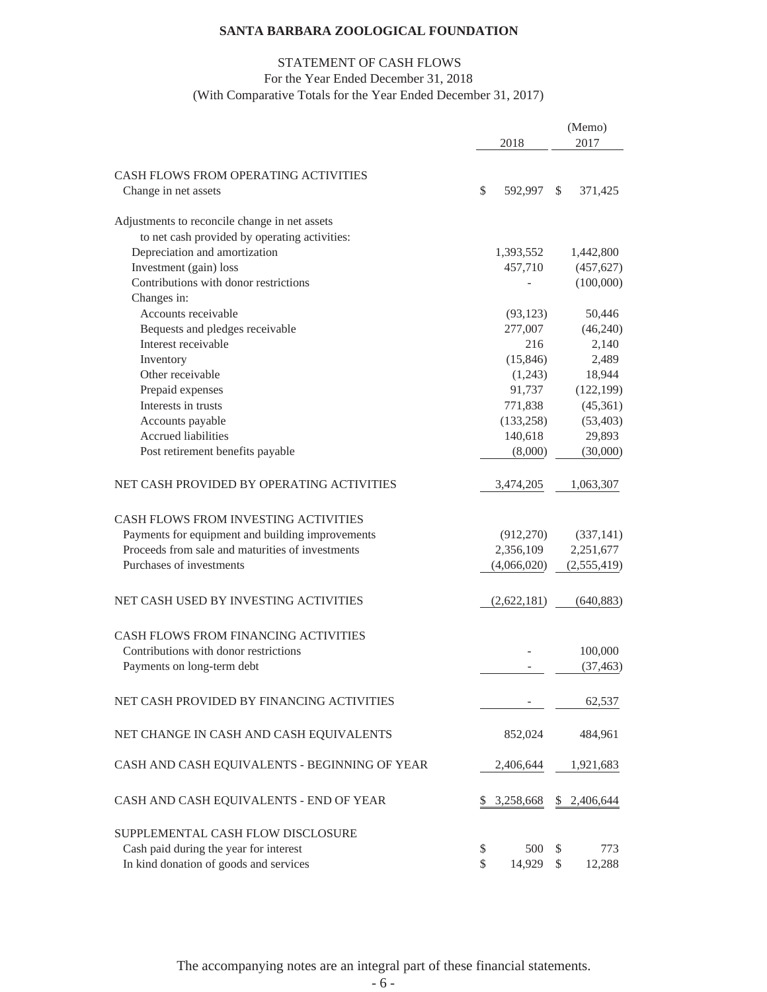# STATEMENT OF CASH FLOWS

### For the Year Ended December 31, 2018

(With Comparative Totals for the Year Ended December 31, 2017)

|                                                              | 2018          |    | (Memo)<br>2017 |
|--------------------------------------------------------------|---------------|----|----------------|
|                                                              |               |    |                |
| CASH FLOWS FROM OPERATING ACTIVITIES<br>Change in net assets | \$<br>592,997 | S. | 371,425        |
| Adjustments to reconcile change in net assets                |               |    |                |
| to net cash provided by operating activities:                |               |    |                |
| Depreciation and amortization                                | 1,393,552     |    | 1,442,800      |
| Investment (gain) loss                                       | 457,710       |    | (457, 627)     |
| Contributions with donor restrictions                        |               |    | (100,000)      |
| Changes in:                                                  |               |    |                |
| Accounts receivable                                          | (93, 123)     |    | 50,446         |
| Bequests and pledges receivable                              | 277,007       |    | (46,240)       |
| Interest receivable                                          | 216           |    | 2,140          |
| Inventory                                                    | (15, 846)     |    | 2,489          |
| Other receivable                                             | (1,243)       |    | 18,944         |
| Prepaid expenses                                             | 91,737        |    | (122, 199)     |
| Interests in trusts                                          | 771,838       |    | (45,361)       |
| Accounts payable                                             | (133, 258)    |    | (53, 403)      |
| Accrued liabilities                                          | 140,618       |    | 29,893         |
| Post retirement benefits payable                             | (8,000)       |    | (30,000)       |
| NET CASH PROVIDED BY OPERATING ACTIVITIES                    | 3,474,205     |    | 1,063,307      |
| <b>CASH FLOWS FROM INVESTING ACTIVITIES</b>                  |               |    |                |
| Payments for equipment and building improvements             | (912, 270)    |    | (337, 141)     |
| Proceeds from sale and maturities of investments             | 2,356,109     |    | 2,251,677      |
| Purchases of investments                                     | (4,066,020)   |    | (2,555,419)    |
| NET CASH USED BY INVESTING ACTIVITIES                        | (2,622,181)   |    | (640, 883)     |
| CASH FLOWS FROM FINANCING ACTIVITIES                         |               |    |                |
| Contributions with donor restrictions                        |               |    | 100,000        |
| Payments on long-term debt                                   |               |    | (37, 463)      |
| NET CASH PROVIDED BY FINANCING ACTIVITIES                    |               |    | 62,537         |
| NET CHANGE IN CASH AND CASH EQUIVALENTS                      | 852,024       |    | 484,961        |
| CASH AND CASH EQUIVALENTS - BEGINNING OF YEAR                | 2,406,644     |    | 1,921,683      |
| CASH AND CASH EQUIVALENTS - END OF YEAR                      | 3,258,668     | S. | 2,406,644      |
| SUPPLEMENTAL CASH FLOW DISCLOSURE                            |               |    |                |
| Cash paid during the year for interest                       | \$<br>500     | S  | 773            |
| In kind donation of goods and services                       | \$<br>14,929  | \$ | 12,288         |

The accompanying notes are an integral part of these financial statements.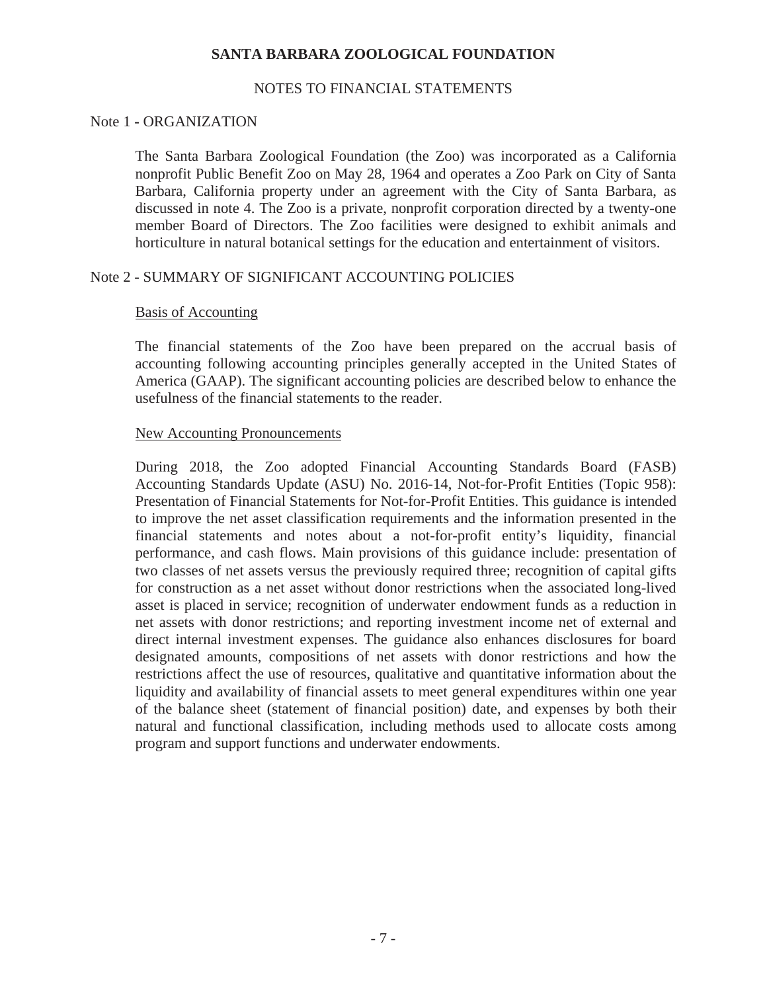### NOTES TO FINANCIAL STATEMENTS

#### Note 1 **-** ORGANIZATION

The Santa Barbara Zoological Foundation (the Zoo) was incorporated as a California nonprofit Public Benefit Zoo on May 28, 1964 and operates a Zoo Park on City of Santa Barbara, California property under an agreement with the City of Santa Barbara, as discussed in note 4. The Zoo is a private, nonprofit corporation directed by a twenty-one member Board of Directors. The Zoo facilities were designed to exhibit animals and horticulture in natural botanical settings for the education and entertainment of visitors.

# Note 2 **-** SUMMARY OF SIGNIFICANT ACCOUNTING POLICIES

#### Basis of Accounting

The financial statements of the Zoo have been prepared on the accrual basis of accounting following accounting principles generally accepted in the United States of America (GAAP). The significant accounting policies are described below to enhance the usefulness of the financial statements to the reader.

### New Accounting Pronouncements

During 2018, the Zoo adopted Financial Accounting Standards Board (FASB) Accounting Standards Update (ASU) No. 2016-14, Not-for-Profit Entities (Topic 958): Presentation of Financial Statements for Not-for-Profit Entities. This guidance is intended to improve the net asset classification requirements and the information presented in the financial statements and notes about a not-for-profit entity's liquidity, financial performance, and cash flows. Main provisions of this guidance include: presentation of two classes of net assets versus the previously required three; recognition of capital gifts for construction as a net asset without donor restrictions when the associated long-lived asset is placed in service; recognition of underwater endowment funds as a reduction in net assets with donor restrictions; and reporting investment income net of external and direct internal investment expenses. The guidance also enhances disclosures for board designated amounts, compositions of net assets with donor restrictions and how the restrictions affect the use of resources, qualitative and quantitative information about the liquidity and availability of financial assets to meet general expenditures within one year of the balance sheet (statement of financial position) date, and expenses by both their natural and functional classification, including methods used to allocate costs among program and support functions and underwater endowments.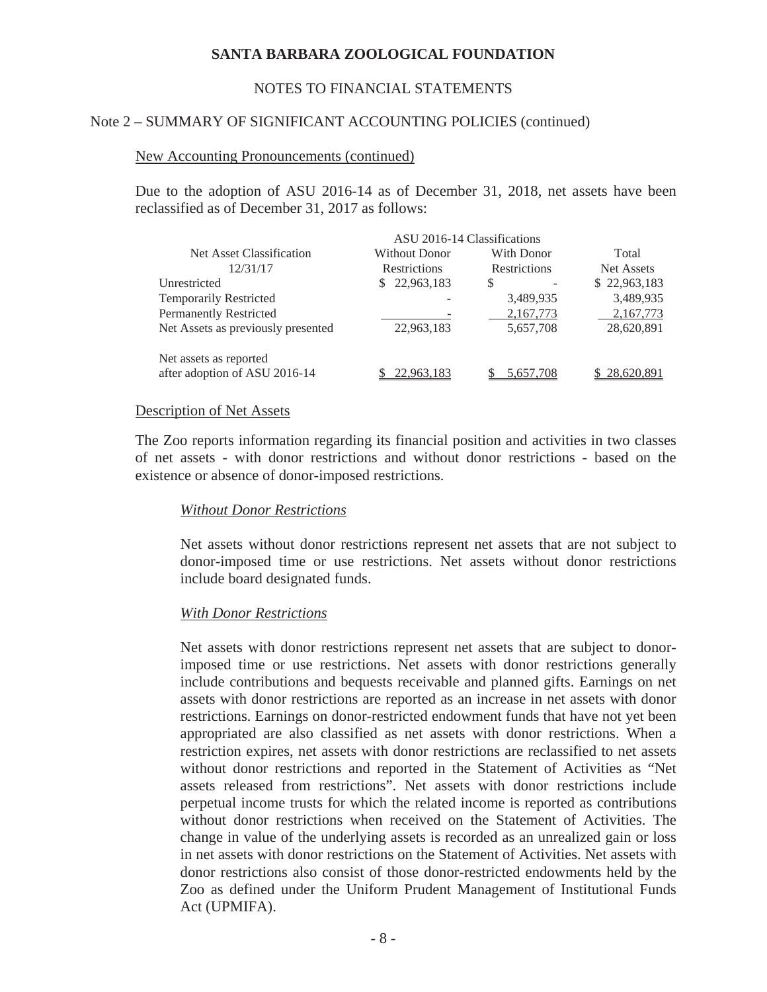### NOTES TO FINANCIAL STATEMENTS

### Note 2 – SUMMARY OF SIGNIFICANT ACCOUNTING POLICIES (continued)

#### New Accounting Pronouncements (continued)

Due to the adoption of ASU 2016-14 as of December 31, 2018, net assets have been reclassified as of December 31, 2017 as follows:

|                                    | ASU 2016-14 Classifications |                     |              |
|------------------------------------|-----------------------------|---------------------|--------------|
| Net Asset Classification           | Without Donor               | With Donor          | Total        |
| 12/31/17                           | <b>Restrictions</b>         | <b>Restrictions</b> | Net Assets   |
| Unrestricted                       | 22,963,183                  | S                   | \$22,963,183 |
| <b>Temporarily Restricted</b>      |                             | 3,489,935           | 3,489,935    |
| <b>Permanently Restricted</b>      |                             | 2,167,773           | 2,167,773    |
| Net Assets as previously presented | 22,963,183                  | 5,657,708           | 28,620,891   |
| Net assets as reported             |                             |                     |              |
| after adoption of ASU 2016-14      | 22.963.183                  | 5.657.708           | 28,620,891   |

#### Description of Net Assets

The Zoo reports information regarding its financial position and activities in two classes of net assets - with donor restrictions and without donor restrictions - based on the existence or absence of donor-imposed restrictions.

### *Without Donor Restrictions*

Net assets without donor restrictions represent net assets that are not subject to donor-imposed time or use restrictions. Net assets without donor restrictions include board designated funds.

#### *With Donor Restrictions*

Net assets with donor restrictions represent net assets that are subject to donorimposed time or use restrictions. Net assets with donor restrictions generally include contributions and bequests receivable and planned gifts. Earnings on net assets with donor restrictions are reported as an increase in net assets with donor restrictions. Earnings on donor-restricted endowment funds that have not yet been appropriated are also classified as net assets with donor restrictions. When a restriction expires, net assets with donor restrictions are reclassified to net assets without donor restrictions and reported in the Statement of Activities as "Net assets released from restrictions". Net assets with donor restrictions include perpetual income trusts for which the related income is reported as contributions without donor restrictions when received on the Statement of Activities. The change in value of the underlying assets is recorded as an unrealized gain or loss in net assets with donor restrictions on the Statement of Activities. Net assets with donor restrictions also consist of those donor-restricted endowments held by the Zoo as defined under the Uniform Prudent Management of Institutional Funds Act (UPMIFA).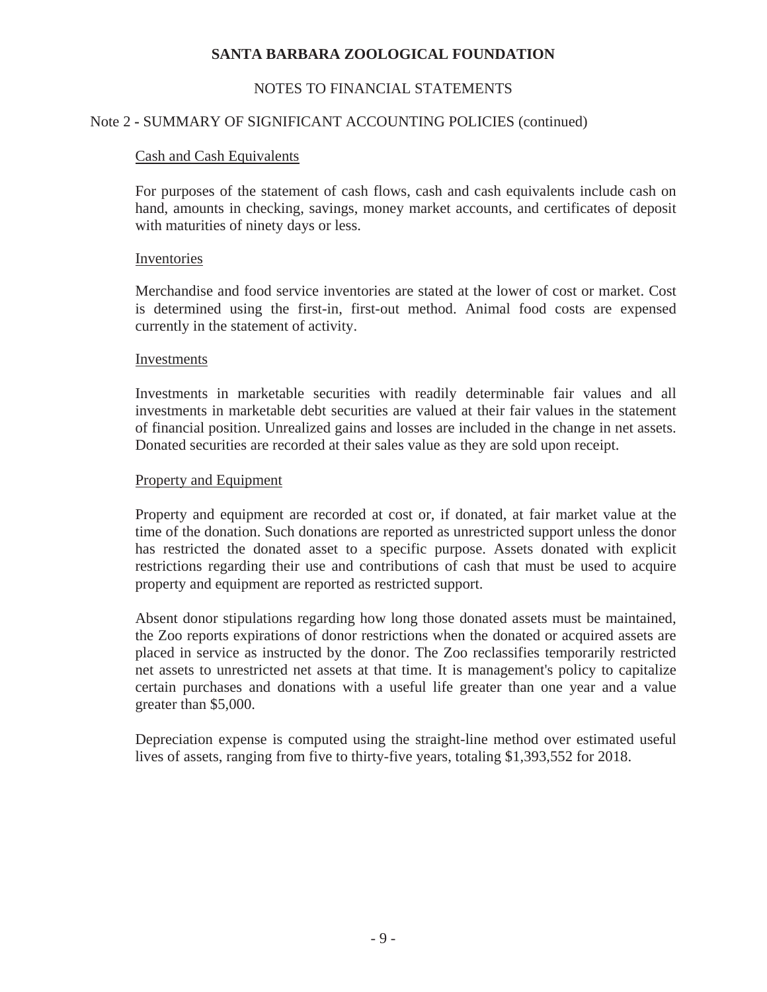# NOTES TO FINANCIAL STATEMENTS

# Note 2 **-** SUMMARY OF SIGNIFICANT ACCOUNTING POLICIES (continued)

### Cash and Cash Equivalents

For purposes of the statement of cash flows, cash and cash equivalents include cash on hand, amounts in checking, savings, money market accounts, and certificates of deposit with maturities of ninety days or less.

### Inventories

Merchandise and food service inventories are stated at the lower of cost or market. Cost is determined using the first-in, first-out method. Animal food costs are expensed currently in the statement of activity.

### Investments

Investments in marketable securities with readily determinable fair values and all investments in marketable debt securities are valued at their fair values in the statement of financial position. Unrealized gains and losses are included in the change in net assets. Donated securities are recorded at their sales value as they are sold upon receipt.

### Property and Equipment

Property and equipment are recorded at cost or, if donated, at fair market value at the time of the donation. Such donations are reported as unrestricted support unless the donor has restricted the donated asset to a specific purpose. Assets donated with explicit restrictions regarding their use and contributions of cash that must be used to acquire property and equipment are reported as restricted support.

Absent donor stipulations regarding how long those donated assets must be maintained, the Zoo reports expirations of donor restrictions when the donated or acquired assets are placed in service as instructed by the donor. The Zoo reclassifies temporarily restricted net assets to unrestricted net assets at that time. It is management's policy to capitalize certain purchases and donations with a useful life greater than one year and a value greater than \$5,000.

Depreciation expense is computed using the straight-line method over estimated useful lives of assets, ranging from five to thirty-five years, totaling \$1,393,552 for 2018.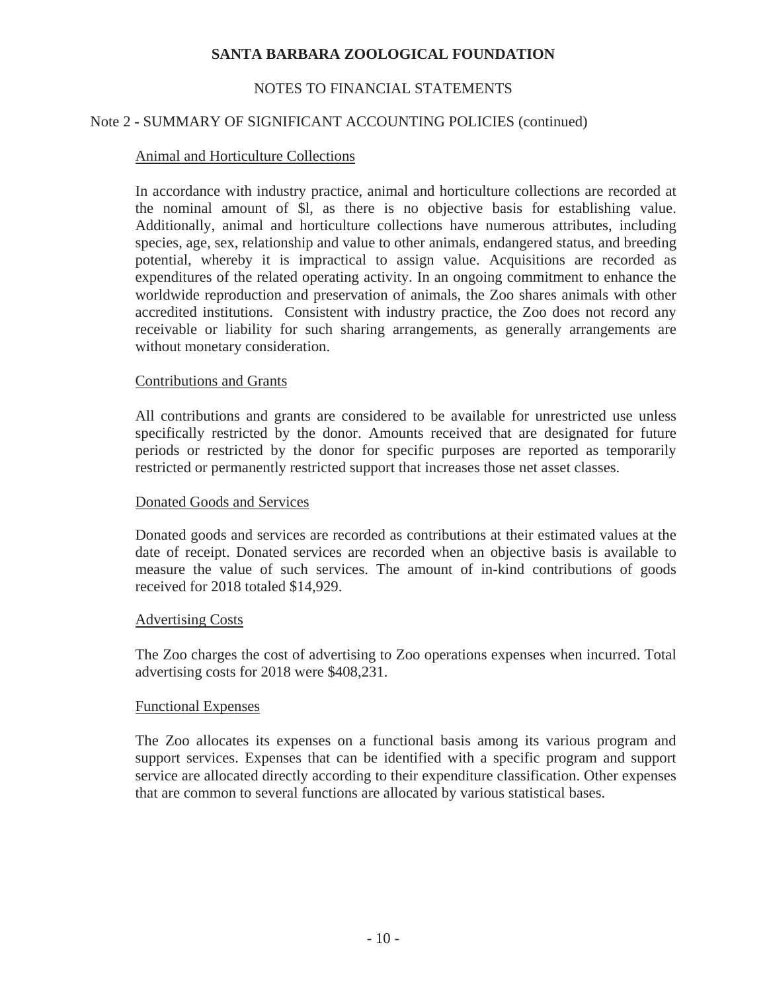# NOTES TO FINANCIAL STATEMENTS

# Note 2 **-** SUMMARY OF SIGNIFICANT ACCOUNTING POLICIES (continued)

### Animal and Horticulture Collections

In accordance with industry practice, animal and horticulture collections are recorded at the nominal amount of \$l, as there is no objective basis for establishing value. Additionally, animal and horticulture collections have numerous attributes, including species, age, sex, relationship and value to other animals, endangered status, and breeding potential, whereby it is impractical to assign value. Acquisitions are recorded as expenditures of the related operating activity. In an ongoing commitment to enhance the worldwide reproduction and preservation of animals, the Zoo shares animals with other accredited institutions. Consistent with industry practice, the Zoo does not record any receivable or liability for such sharing arrangements, as generally arrangements are without monetary consideration.

### Contributions and Grants

All contributions and grants are considered to be available for unrestricted use unless specifically restricted by the donor. Amounts received that are designated for future periods or restricted by the donor for specific purposes are reported as temporarily restricted or permanently restricted support that increases those net asset classes.

### Donated Goods and Services

Donated goods and services are recorded as contributions at their estimated values at the date of receipt. Donated services are recorded when an objective basis is available to measure the value of such services. The amount of in-kind contributions of goods received for 2018 totaled \$14,929.

### Advertising Costs

The Zoo charges the cost of advertising to Zoo operations expenses when incurred. Total advertising costs for 2018 were \$408,231.

### Functional Expenses

The Zoo allocates its expenses on a functional basis among its various program and support services. Expenses that can be identified with a specific program and support service are allocated directly according to their expenditure classification. Other expenses that are common to several functions are allocated by various statistical bases.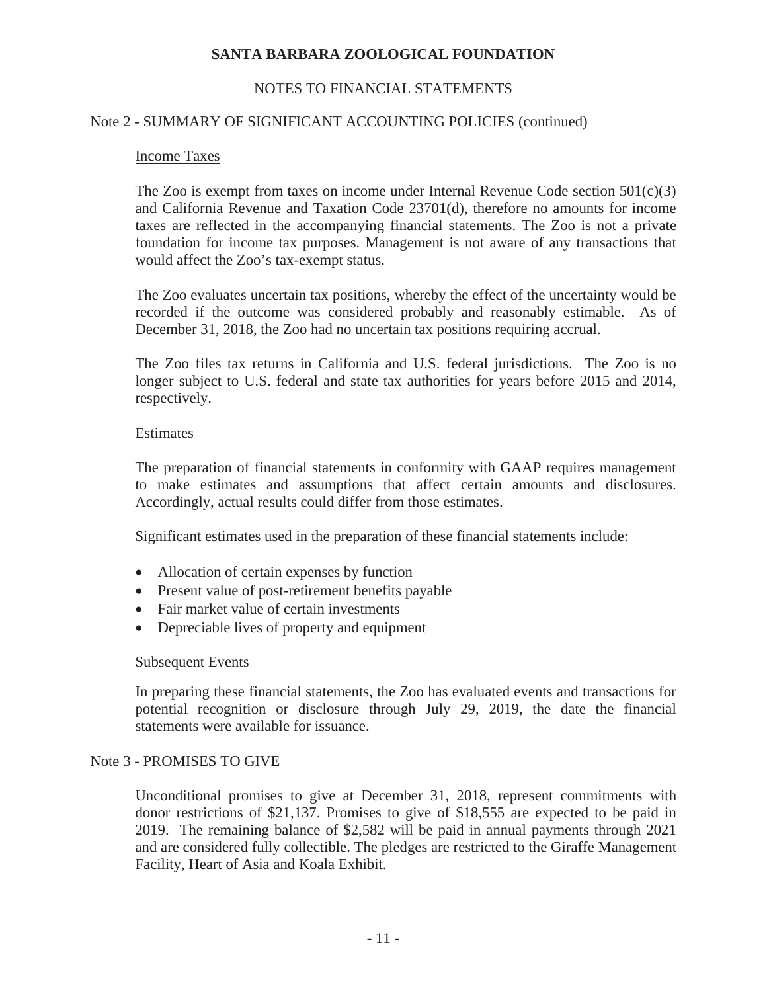# NOTES TO FINANCIAL STATEMENTS

### Note 2 **-** SUMMARY OF SIGNIFICANT ACCOUNTING POLICIES (continued)

### Income Taxes

The Zoo is exempt from taxes on income under Internal Revenue Code section  $501(c)(3)$ and California Revenue and Taxation Code 23701(d), therefore no amounts for income taxes are reflected in the accompanying financial statements. The Zoo is not a private foundation for income tax purposes. Management is not aware of any transactions that would affect the Zoo's tax-exempt status.

The Zoo evaluates uncertain tax positions, whereby the effect of the uncertainty would be recorded if the outcome was considered probably and reasonably estimable. As of December 31, 2018, the Zoo had no uncertain tax positions requiring accrual.

The Zoo files tax returns in California and U.S. federal jurisdictions. The Zoo is no longer subject to U.S. federal and state tax authorities for years before 2015 and 2014, respectively.

### Estimates

The preparation of financial statements in conformity with GAAP requires management to make estimates and assumptions that affect certain amounts and disclosures. Accordingly, actual results could differ from those estimates.

Significant estimates used in the preparation of these financial statements include:

- Allocation of certain expenses by function
- Present value of post-retirement benefits payable
- Fair market value of certain investments
- Depreciable lives of property and equipment

### Subsequent Events

In preparing these financial statements, the Zoo has evaluated events and transactions for potential recognition or disclosure through July 29, 2019, the date the financial statements were available for issuance.

### Note 3 **-** PROMISES TO GIVE

Unconditional promises to give at December 31, 2018, represent commitments with donor restrictions of \$21,137. Promises to give of \$18,555 are expected to be paid in 2019. The remaining balance of \$2,582 will be paid in annual payments through 2021 and are considered fully collectible. The pledges are restricted to the Giraffe Management Facility, Heart of Asia and Koala Exhibit.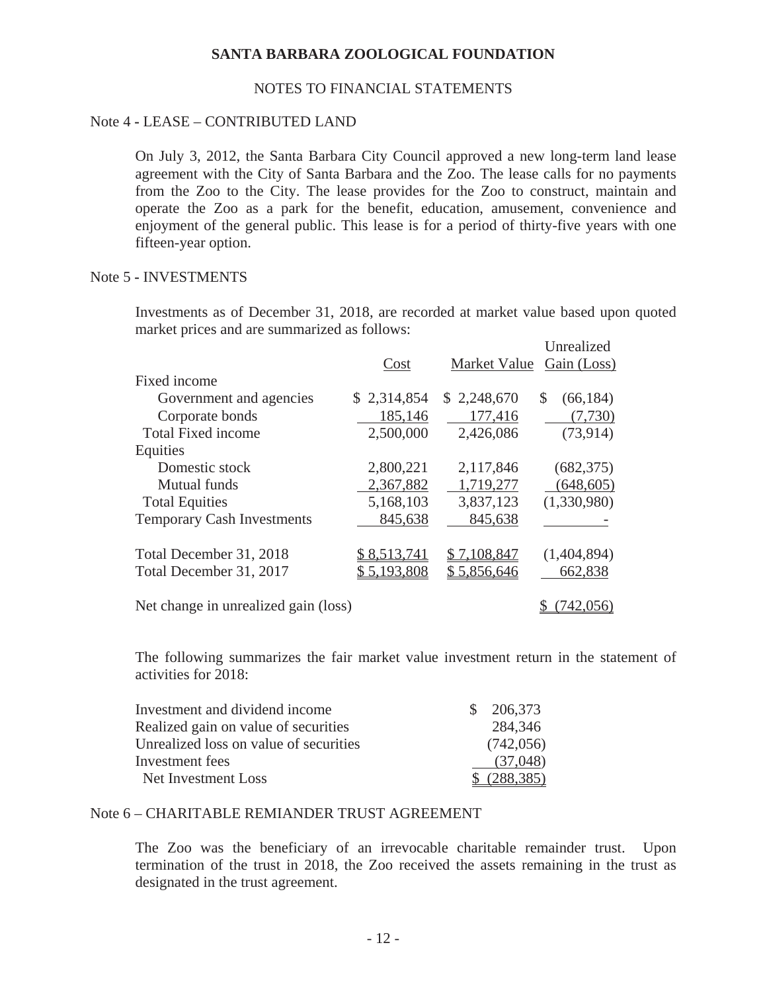### NOTES TO FINANCIAL STATEMENTS

### Note 4 **-** LEASE – CONTRIBUTED LAND

On July 3, 2012, the Santa Barbara City Council approved a new long-term land lease agreement with the City of Santa Barbara and the Zoo. The lease calls for no payments from the Zoo to the City. The lease provides for the Zoo to construct, maintain and operate the Zoo as a park for the benefit, education, amusement, convenience and enjoyment of the general public. This lease is for a period of thirty-five years with one fifteen-year option.

#### Note 5 **-** INVESTMENTS

Investments as of December 31, 2018, are recorded at market value based upon quoted market prices and are summarized as follows:

|                                      |             |              | Unrealized      |
|--------------------------------------|-------------|--------------|-----------------|
|                                      | Cost        | Market Value | Gain (Loss)     |
| Fixed income                         |             |              |                 |
| Government and agencies              | \$2,314,854 | \$2,248,670  | \$<br>(66, 184) |
| Corporate bonds                      | 185,146     | 177,416      | (7,730)         |
| <b>Total Fixed income</b>            | 2,500,000   | 2,426,086    | (73, 914)       |
| Equities                             |             |              |                 |
| Domestic stock                       | 2,800,221   | 2,117,846    | (682, 375)      |
| <b>Mutual funds</b>                  | 2,367,882   | 1,719,277    | (648, 605)      |
| <b>Total Equities</b>                | 5,168,103   | 3,837,123    | (1,330,980)     |
| <b>Temporary Cash Investments</b>    | 845,638     | 845,638      |                 |
| Total December 31, 2018              | \$8,513,741 | \$7,108,847  | (1,404,894)     |
| Total December 31, 2017              | \$5,193,808 | \$5,856,646  | 662,838         |
| Net change in unrealized gain (loss) |             |              | (742, 056)      |

The following summarizes the fair market value investment return in the statement of activities for 2018:

| Investment and dividend income         | $\frac{$}{206,373}$ |
|----------------------------------------|---------------------|
| Realized gain on value of securities   | 284,346             |
| Unrealized loss on value of securities | (742, 056)          |
| Investment fees                        | (37,048)            |
| Net Investment Loss                    | \$ (288, 385)       |

### Note 6 – CHARITABLE REMIANDER TRUST AGREEMENT

The Zoo was the beneficiary of an irrevocable charitable remainder trust. Upon termination of the trust in 2018, the Zoo received the assets remaining in the trust as designated in the trust agreement.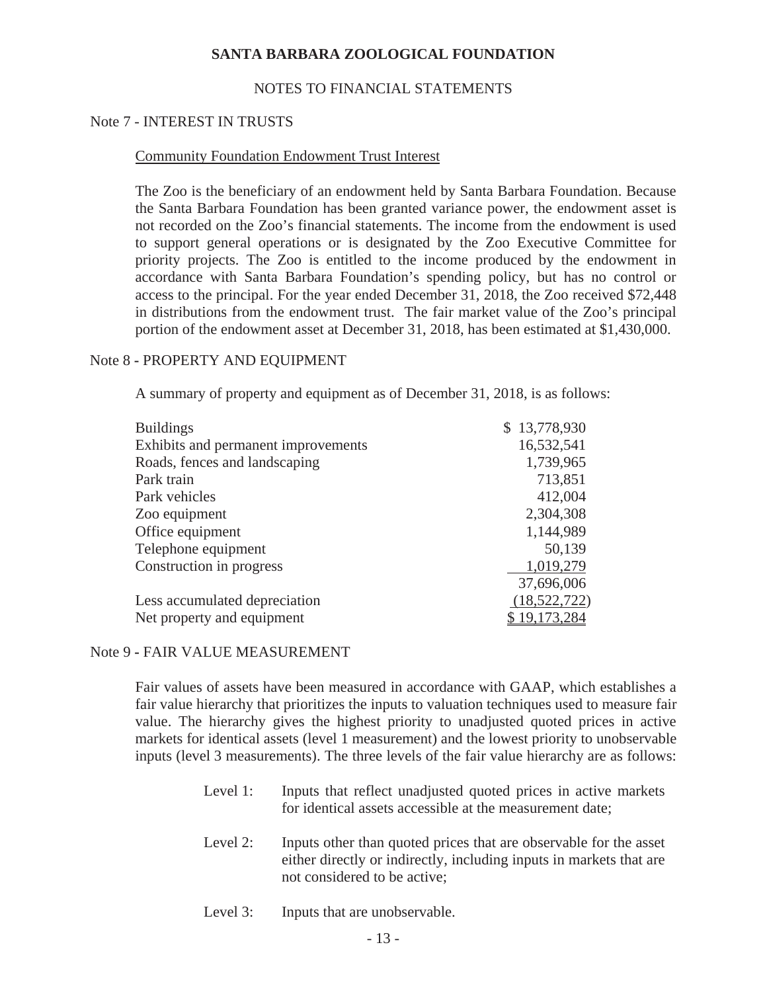### NOTES TO FINANCIAL STATEMENTS

#### Note 7 - INTEREST IN TRUSTS

#### Community Foundation Endowment Trust Interest

The Zoo is the beneficiary of an endowment held by Santa Barbara Foundation. Because the Santa Barbara Foundation has been granted variance power, the endowment asset is not recorded on the Zoo's financial statements. The income from the endowment is used to support general operations or is designated by the Zoo Executive Committee for priority projects. The Zoo is entitled to the income produced by the endowment in accordance with Santa Barbara Foundation's spending policy, but has no control or access to the principal. For the year ended December 31, 2018, the Zoo received \$72,448 in distributions from the endowment trust. The fair market value of the Zoo's principal portion of the endowment asset at December 31, 2018, has been estimated at \$1,430,000.

#### Note 8 **-** PROPERTY AND EQUIPMENT

A summary of property and equipment as of December 31, 2018, is as follows:

| <b>Buildings</b>                           | \$13,778,930 |
|--------------------------------------------|--------------|
| <b>Exhibits and permanent improvements</b> | 16,532,541   |
| Roads, fences and landscaping              | 1,739,965    |
| Park train                                 | 713,851      |
| Park vehicles                              | 412,004      |
| Zoo equipment                              | 2,304,308    |
| Office equipment                           | 1,144,989    |
| Telephone equipment                        | 50,139       |
| Construction in progress                   | 1,019,279    |
|                                            | 37,696,006   |
| Less accumulated depreciation              | (18,522,722) |
| Net property and equipment                 | \$19,173,284 |

Note 9 **-** FAIR VALUE MEASUREMENT

Fair values of assets have been measured in accordance with GAAP, which establishes a fair value hierarchy that prioritizes the inputs to valuation techniques used to measure fair value. The hierarchy gives the highest priority to unadjusted quoted prices in active markets for identical assets (level 1 measurement) and the lowest priority to unobservable inputs (level 3 measurements). The three levels of the fair value hierarchy are as follows:

- Level 1: Inputs that reflect unadjusted quoted prices in active markets for identical assets accessible at the measurement date;
- Level 2: Inputs other than quoted prices that are observable for the asset either directly or indirectly, including inputs in markets that are not considered to be active;
- Level 3: Inputs that are unobservable.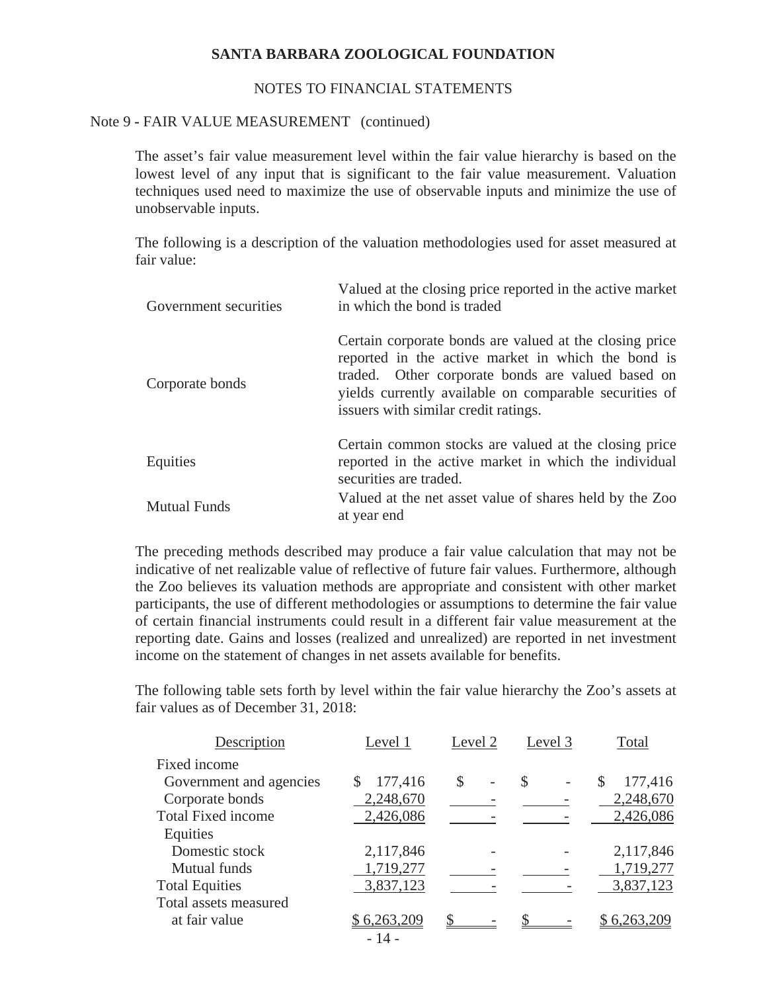### NOTES TO FINANCIAL STATEMENTS

#### Note 9 **-** FAIR VALUE MEASUREMENT (continued)

The asset's fair value measurement level within the fair value hierarchy is based on the lowest level of any input that is significant to the fair value measurement. Valuation techniques used need to maximize the use of observable inputs and minimize the use of unobservable inputs.

The following is a description of the valuation methodologies used for asset measured at fair value:

| Government securities | Valued at the closing price reported in the active market<br>in which the bond is traded                                                                                                                                                                             |
|-----------------------|----------------------------------------------------------------------------------------------------------------------------------------------------------------------------------------------------------------------------------------------------------------------|
| Corporate bonds       | Certain corporate bonds are valued at the closing price<br>reported in the active market in which the bond is<br>traded. Other corporate bonds are valued based on<br>yields currently available on comparable securities of<br>issuers with similar credit ratings. |
| Equities              | Certain common stocks are valued at the closing price<br>reported in the active market in which the individual<br>securities are traded.                                                                                                                             |
| <b>Mutual Funds</b>   | Valued at the net asset value of shares held by the Zoo<br>at year end                                                                                                                                                                                               |

The preceding methods described may produce a fair value calculation that may not be indicative of net realizable value of reflective of future fair values. Furthermore, although the Zoo believes its valuation methods are appropriate and consistent with other market participants, the use of different methodologies or assumptions to determine the fair value of certain financial instruments could result in a different fair value measurement at the reporting date. Gains and losses (realized and unrealized) are reported in net investment income on the statement of changes in net assets available for benefits.

The following table sets forth by level within the fair value hierarchy the Zoo's assets at fair values as of December 31, 2018:

| Description               | Level 1     | Level 2              | Level 3 | Total         |
|---------------------------|-------------|----------------------|---------|---------------|
| Fixed income              |             |                      |         |               |
| Government and agencies   | 177,416     | \$<br>$\overline{a}$ | \$      | 177,416<br>\$ |
| Corporate bonds           | 2,248,670   |                      |         | 2,248,670     |
| <b>Total Fixed income</b> | 2,426,086   |                      |         | 2,426,086     |
| Equities                  |             |                      |         |               |
| Domestic stock            | 2,117,846   |                      |         | 2,117,846     |
| Mutual funds              | 1,719,277   |                      |         | 1,719,277     |
| <b>Total Equities</b>     | 3,837,123   |                      |         | 3,837,123     |
| Total assets measured     |             |                      |         |               |
| at fair value             | \$6,263,209 | S                    |         | \$6,263,209   |
|                           | - 14 -      |                      |         |               |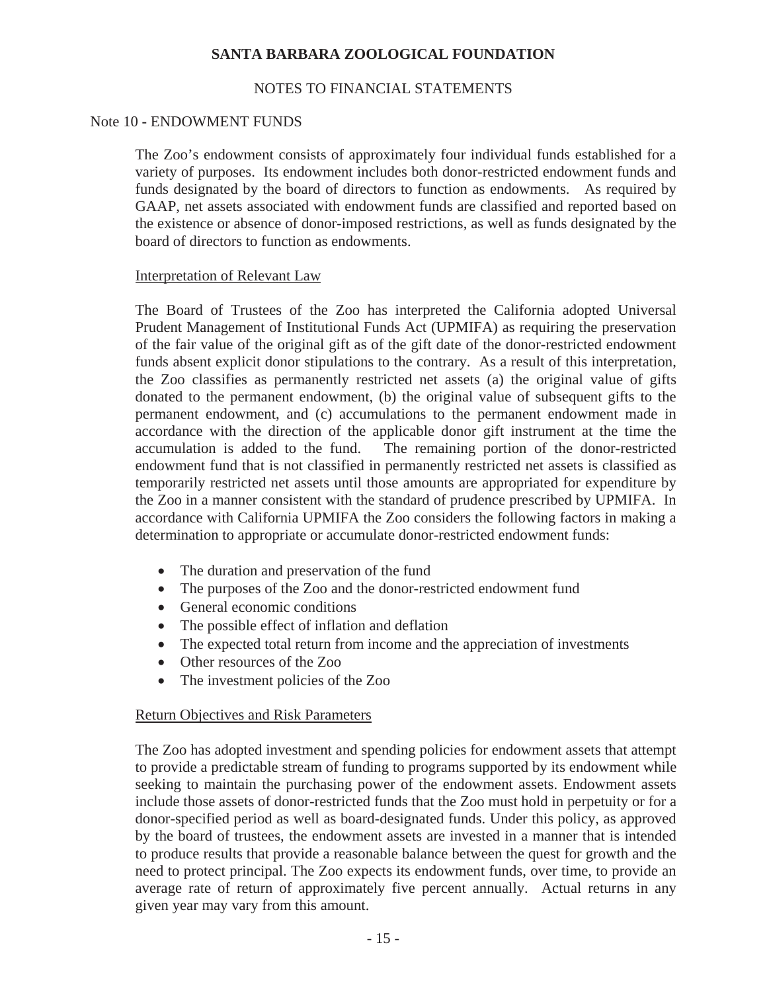# NOTES TO FINANCIAL STATEMENTS

### Note 10 **-** ENDOWMENT FUNDS

The Zoo's endowment consists of approximately four individual funds established for a variety of purposes. Its endowment includes both donor-restricted endowment funds and funds designated by the board of directors to function as endowments. As required by GAAP, net assets associated with endowment funds are classified and reported based on the existence or absence of donor-imposed restrictions, as well as funds designated by the board of directors to function as endowments.

### Interpretation of Relevant Law

The Board of Trustees of the Zoo has interpreted the California adopted Universal Prudent Management of Institutional Funds Act (UPMIFA) as requiring the preservation of the fair value of the original gift as of the gift date of the donor-restricted endowment funds absent explicit donor stipulations to the contrary. As a result of this interpretation, the Zoo classifies as permanently restricted net assets (a) the original value of gifts donated to the permanent endowment, (b) the original value of subsequent gifts to the permanent endowment, and (c) accumulations to the permanent endowment made in accordance with the direction of the applicable donor gift instrument at the time the accumulation is added to the fund. The remaining portion of the donor-restricted endowment fund that is not classified in permanently restricted net assets is classified as temporarily restricted net assets until those amounts are appropriated for expenditure by the Zoo in a manner consistent with the standard of prudence prescribed by UPMIFA. In accordance with California UPMIFA the Zoo considers the following factors in making a determination to appropriate or accumulate donor-restricted endowment funds:

- The duration and preservation of the fund
- The purposes of the Zoo and the donor-restricted endowment fund
- General economic conditions
- The possible effect of inflation and deflation
- The expected total return from income and the appreciation of investments
- Other resources of the Zoo
- The investment policies of the Zoo

# Return Objectives and Risk Parameters

The Zoo has adopted investment and spending policies for endowment assets that attempt to provide a predictable stream of funding to programs supported by its endowment while seeking to maintain the purchasing power of the endowment assets. Endowment assets include those assets of donor-restricted funds that the Zoo must hold in perpetuity or for a donor-specified period as well as board-designated funds. Under this policy, as approved by the board of trustees, the endowment assets are invested in a manner that is intended to produce results that provide a reasonable balance between the quest for growth and the need to protect principal. The Zoo expects its endowment funds, over time, to provide an average rate of return of approximately five percent annually. Actual returns in any given year may vary from this amount.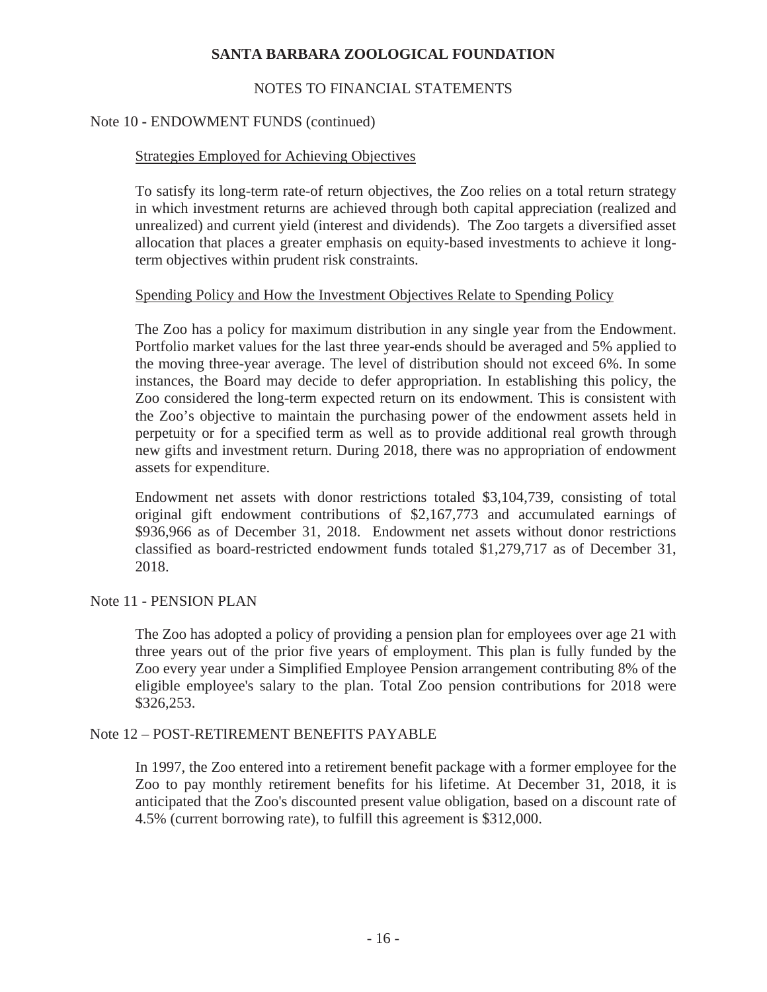# NOTES TO FINANCIAL STATEMENTS

### Note 10 **-** ENDOWMENT FUNDS (continued)

### Strategies Employed for Achieving Objectives

To satisfy its long-term rate-of return objectives, the Zoo relies on a total return strategy in which investment returns are achieved through both capital appreciation (realized and unrealized) and current yield (interest and dividends). The Zoo targets a diversified asset allocation that places a greater emphasis on equity-based investments to achieve it longterm objectives within prudent risk constraints.

### Spending Policy and How the Investment Objectives Relate to Spending Policy

The Zoo has a policy for maximum distribution in any single year from the Endowment. Portfolio market values for the last three year-ends should be averaged and 5% applied to the moving three-year average. The level of distribution should not exceed 6%. In some instances, the Board may decide to defer appropriation. In establishing this policy, the Zoo considered the long-term expected return on its endowment. This is consistent with the Zoo's objective to maintain the purchasing power of the endowment assets held in perpetuity or for a specified term as well as to provide additional real growth through new gifts and investment return. During 2018, there was no appropriation of endowment assets for expenditure.

Endowment net assets with donor restrictions totaled \$3,104,739, consisting of total original gift endowment contributions of \$2,167,773 and accumulated earnings of \$936,966 as of December 31, 2018. Endowment net assets without donor restrictions classified as board-restricted endowment funds totaled \$1,279,717 as of December 31, 2018.

### Note 11 **-** PENSION PLAN

The Zoo has adopted a policy of providing a pension plan for employees over age 21 with three years out of the prior five years of employment. This plan is fully funded by the Zoo every year under a Simplified Employee Pension arrangement contributing 8% of the eligible employee's salary to the plan. Total Zoo pension contributions for 2018 were \$326,253.

### Note 12 – POST-RETIREMENT BENEFITS PAYABLE

In 1997, the Zoo entered into a retirement benefit package with a former employee for the Zoo to pay monthly retirement benefits for his lifetime. At December 31, 2018, it is anticipated that the Zoo's discounted present value obligation, based on a discount rate of 4.5% (current borrowing rate), to fulfill this agreement is \$312,000.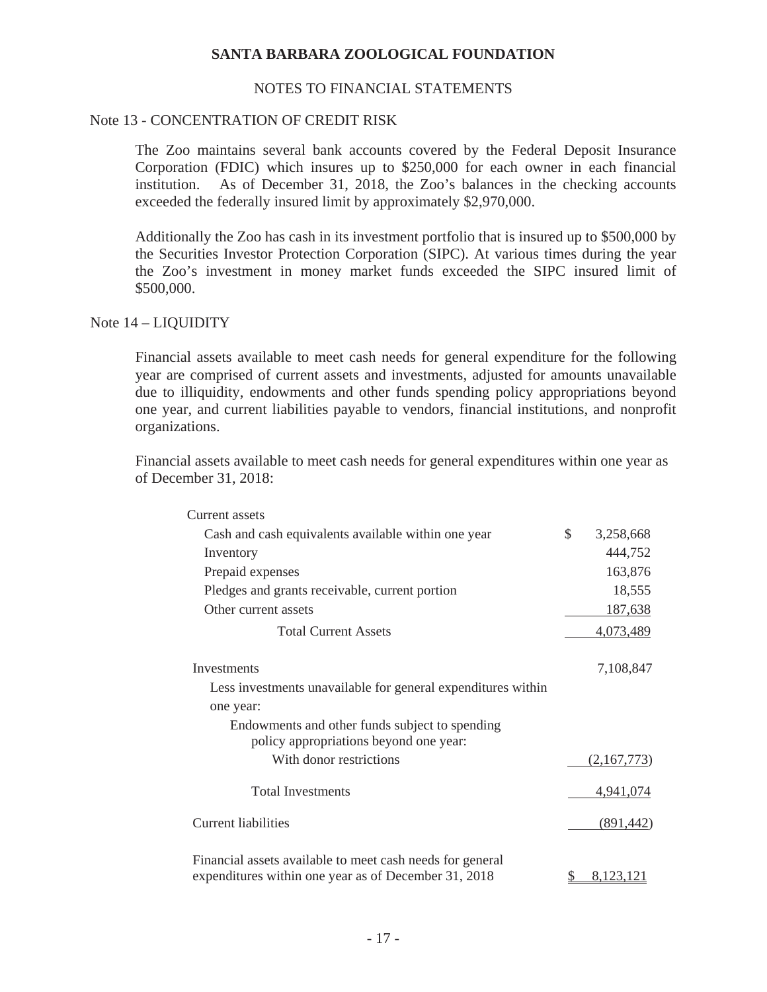### NOTES TO FINANCIAL STATEMENTS

### Note 13 - CONCENTRATION OF CREDIT RISK

The Zoo maintains several bank accounts covered by the Federal Deposit Insurance Corporation (FDIC) which insures up to \$250,000 for each owner in each financial institution. As of December 31, 2018, the Zoo's balances in the checking accounts exceeded the federally insured limit by approximately \$2,970,000.

Additionally the Zoo has cash in its investment portfolio that is insured up to \$500,000 by the Securities Investor Protection Corporation (SIPC). At various times during the year the Zoo's investment in money market funds exceeded the SIPC insured limit of \$500,000.

Note 14 – LIQUIDITY

Financial assets available to meet cash needs for general expenditure for the following year are comprised of current assets and investments, adjusted for amounts unavailable due to illiquidity, endowments and other funds spending policy appropriations beyond one year, and current liabilities payable to vendors, financial institutions, and nonprofit organizations.

Financial assets available to meet cash needs for general expenditures within one year as of December 31, 2018:

| Current assets                                                                                                    |                 |
|-------------------------------------------------------------------------------------------------------------------|-----------------|
| Cash and cash equivalents available within one year                                                               | \$<br>3,258,668 |
| Inventory                                                                                                         | 444,752         |
| Prepaid expenses                                                                                                  | 163,876         |
| Pledges and grants receivable, current portion                                                                    | 18,555          |
| Other current assets                                                                                              | 187,638         |
| <b>Total Current Assets</b>                                                                                       | 4,073,489       |
| <b>Investments</b>                                                                                                | 7,108,847       |
| Less investments unavailable for general expenditures within                                                      |                 |
| one year:                                                                                                         |                 |
| Endowments and other funds subject to spending<br>policy appropriations beyond one year:                          |                 |
| With donor restrictions                                                                                           | (2,167,773)     |
| <b>Total Investments</b>                                                                                          | 4,941,074       |
| Current liabilities                                                                                               | (891, 442)      |
| Financial assets available to meet cash needs for general<br>expenditures within one year as of December 31, 2018 | 8,123,121       |